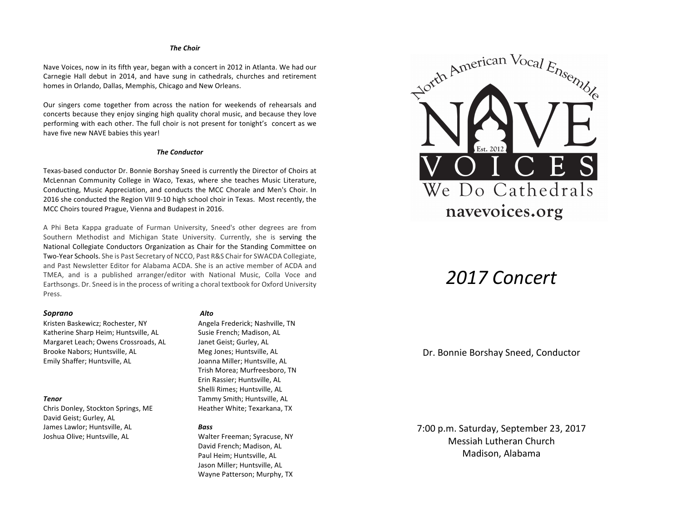### *The Choir*

Nave Voices, now in its fifth year, began with a concert in 2012 in Atlanta. We had our Carnegie Hall debut in 2014, and have sung in cathedrals, churches and retirement homes in Orlando, Dallas, Memphis, Chicago and New Orleans.

Our singers come together from across the nation for weekends of rehearsals and concerts because they enjoy singing high quality choral music, and because they love performing with each other. The full choir is not present for tonight's concert as we have five new NAVE babies this year!

## *The Conductor*

Texas-based conductor Dr. Bonnie Borshay Sneed is currently the Director of Choirs at McLennan Community College in Waco, Texas, where she teaches Music Literature, Conducting, Music Appreciation, and conducts the MCC Chorale and Men's Choir. In 2016 she conducted the Region VIII 9-10 high school choir in Texas. Most recently, the MCC Choirs toured Prague, Vienna and Budapest in 2016.

A Phi Beta Kappa graduate of Furman University, Sneed's other degrees are from Southern Methodist and Michigan State University. Currently, she is serving the National Collegiate Conductors Organization as Chair for the Standing Committee on Two-Year Schools. She is Past Secretary of NCCO, Past R&S Chair for SWACDA Collegiate, and Past Newsletter Editor for Alabama ACDA. She is an active member of ACDA and TMEA, and is a published arranger/editor with National Music, Colla Voce and Earthsongs. Dr. Sneed is in the process of writing a choral textbook for Oxford University Press.

## *Soprano Alto*

Kristen Baskewicz; Rochester, NY Angela Frederick; Nashville, TN Katherine Sharp Heim; Huntsville, AL Susie French; Madison, AL Margaret Leach; Owens Crossroads, AL Janet Geist; Gurley, AL Brooke Nabors; Huntsville, AL Meg Jones; Huntsville, AL Emily Shaffer; Huntsville, AL Joanna Miller; Huntsville, AL

Chris Donley, Stockton Springs, ME Heather White; Texarkana, TX David Geist; Gurley, AL James Lawlor; Huntsville, AL **Bass** Joshua Olive; Huntsville, AL Walter Freeman; Syracuse, NY

Trish Morea; Murfreesboro, TN Erin Rassier; Huntsville, AL Shelli Rimes; Huntsville, AL **Tenor** Tammy Smith; Huntsville, AL

David French; Madison, AL Paul Heim; Huntsville, AL Jason Miller; Huntsville, AL Wayne Patterson; Murphy, TX



# *2017 Concert*

## Dr. Bonnie Borshay Sneed, Conductor

7:00 p.m. Saturday, September 23, 2017 Messiah Lutheran Church Madison, Alabama